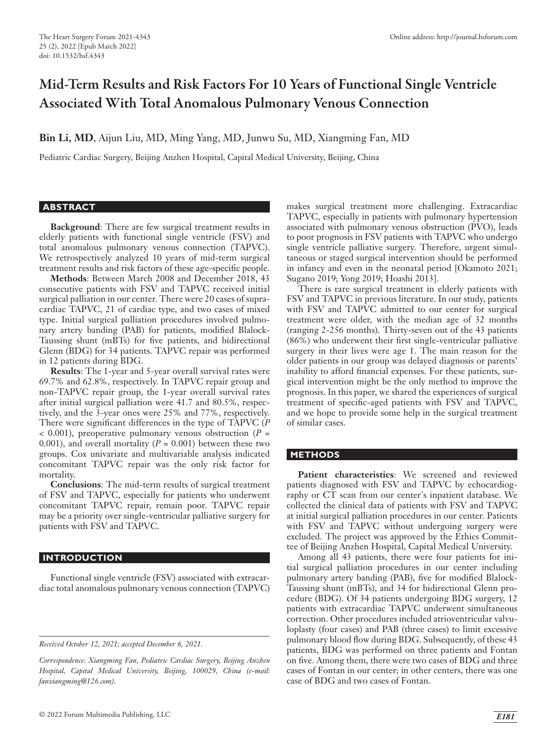# Mid-Term Results and Risk Factors For 10 Years of Functional Single Ventricle Associated With Total Anomalous Pulmonary Venous Connection

**Bin Li, MD**, Aijun Liu, MD, Ming Yang, MD, Junwu Su, MD, Xiangming Fan, MD

Pediatric Cardiac Surgery, Beijing Anzhen Hospital, Capital Medical University, Beijing, China

## **ABSTRACT**

**Background**: There are few surgical treatment results in elderly patients with functional single ventricle (FSV) and total anomalous pulmonary venous connection (TAPVC). We retrospectively analyzed 10 years of mid-term surgical treatment results and risk factors of these age-specific people.

**Methods**: Between March 2008 and December 2018, 43 consecutive patients with FSV and TAPVC received initial surgical palliation in our center. There were 20 cases of supracardiac TAPVC, 21 of cardiac type, and two cases of mixed type. Initial surgical palliation procedures involved pulmonary artery banding (PAB) for patients, modified Blalock-Taussing shunt (mBTs) for five patients, and bidirectional Glenn (BDG) for 34 patients. TAPVC repair was performed in 12 patients during BDG.

**Results**: The 1-year and 5-year overall survival rates were 69.7% and 62.8%, respectively. In TAPVC repair group and non-TAPVC repair group, the 1-year overall survival rates after initial surgical palliation were 41.7 and 80.5%, respectively, and the 3-year ones were 25% and 77%, respectively. There were significant differences in the type of TAPVC (*P* < 0.001), preoperative pulmonary venous obstruction (*P* = 0.001), and overall mortality  $(P = 0.001)$  between these two groups. Cox univariate and multivariable analysis indicated concomitant TAPVC repair was the only risk factor for mortality.

**Conclusions**: The mid-term results of surgical treatment of FSV and TAPVC, especially for patients who underwent concomitant TAPVC repair, remain poor. TAPVC repair may be a priority over single-ventricular palliative surgery for patients with FSV and TAPVC.

## **INTRODUCTION**

Functional single ventricle (FSV) associated with extracardiac total anomalous pulmonary venous connection (TAPVC) makes surgical treatment more challenging. Extracardiac TAPVC, especially in patients with pulmonary hypertension associated with pulmonary venous obstruction (PVO), leads to poor prognosis in FSV patients with TAPVC who undergo single ventricle palliative surgery. Therefore, urgent simultaneous or staged surgical intervention should be performed in infancy and even in the neonatal period [Okamoto 2021; Sugano 2019; Yong 2019; Hoashi 2013].

There is rare surgical treatment in elderly patients with FSV and TAPVC in previous literature. In our study, patients with FSV and TAPVC admitted to our center for surgical treatment were older, with the median age of 32 months (ranging 2-256 months). Thirty-seven out of the 43 patients (86%) who underwent their first single-ventricular palliative surgery in their lives were age 1. The main reason for the older patients in our group was delayed diagnosis or parents' inability to afford financial expenses. For these patients, surgical intervention might be the only method to improve the prognosis. In this paper, we shared the experiences of surgical treatment of specific-aged patients with FSV and TAPVC, and we hope to provide some help in the surgical treatment of similar cases.

# **METHODS**

Patient characteristics: We screened and reviewed patients diagnosed with FSV and TAPVC by echocardiography or CT scan from our center's inpatient database. We collected the clinical data of patients with FSV and TAPVC at initial surgical palliation procedures in our center. Patients with FSV and TAPVC without undergoing surgery were excluded. The project was approved by the Ethics Committee of Beijing Anzhen Hospital, Capital Medical University.

Among all 43 patients, there were four patients for initial surgical palliation procedures in our center including pulmonary artery banding (PAB), five for modified Blalock-Taussing shunt (mBTs), and 34 for bidirectional Glenn procedure (BDG). Of 34 patients undergoing BDG surgery, 12 patients with extracardiac TAPVC underwent simultaneous correction. Other procedures included atrioventricular valvuloplasty (four cases) and PAB (three cases) to limit excessive pulmonary blood flow during BDG. Subsequently, of these 43 patients, BDG was performed on three patients and Fontan on five. Among them, there were two cases of BDG and three cases of Fontan in our center; in other centers, there was one case of BDG and two cases of Fontan.

*Received October 12, 2021; accepted December 6, 2021.*

*Correspondence: Xiangming Fan, Pediatric Cardiac Surgery, Beijing Anzhen Hospital, Capital Medical University, Beijing, 100029, China (e-mail: fanxiangming@126.com).*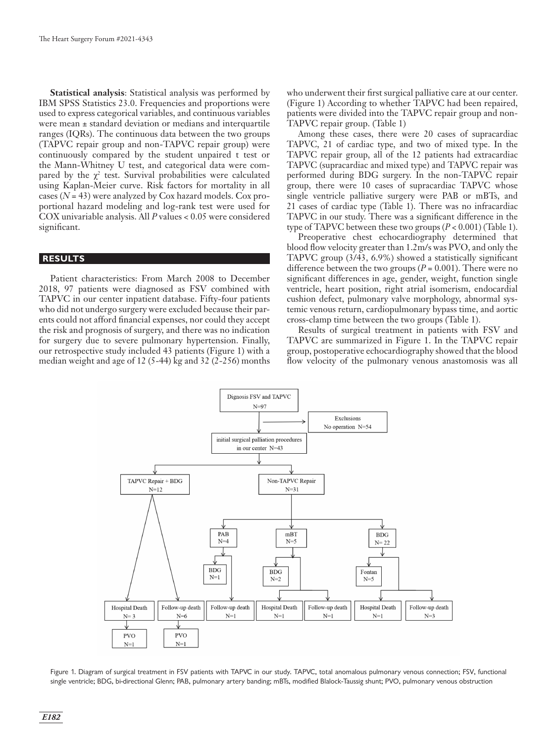**Statistical analysis**: Statistical analysis was performed by IBM SPSS Statistics 23.0. Frequencies and proportions were used to express categorical variables, and continuous variables were mean ± standard deviation or medians and interquartile ranges (IQRs). The continuous data between the two groups (TAPVC repair group and non-TAPVC repair group) were continuously compared by the student unpaired t test or the Mann-Whitney U test, and categorical data were compared by the  $\chi^2$  test. Survival probabilities were calculated using Kaplan-Meier curve. Risk factors for mortality in all cases (*N* = 43) were analyzed by Cox hazard models. Cox proportional hazard modeling and log-rank test were used for COX univariable analysis. All *P* values < 0.05 were considered significant.

# **RESULTS**

Patient characteristics: From March 2008 to December 2018, 97 patients were diagnosed as FSV combined with TAPVC in our center inpatient database. Fifty-four patients who did not undergo surgery were excluded because their parents could not afford financial expenses, nor could they accept the risk and prognosis of surgery, and there was no indication for surgery due to severe pulmonary hypertension. Finally, our retrospective study included 43 patients (Figure 1) with a median weight and age of 12 (5-44) kg and 32 (2-256) months

who underwent their first surgical palliative care at our center. (Figure 1) According to whether TAPVC had been repaired, patients were divided into the TAPVC repair group and non-TAPVC repair group. (Table 1)

Among these cases, there were 20 cases of supracardiac TAPVC, 21 of cardiac type, and two of mixed type. In the TAPVC repair group, all of the 12 patients had extracardiac TAPVC (supracardiac and mixed type) and TAPVC repair was performed during BDG surgery. In the non-TAPVC repair group, there were 10 cases of supracardiac TAPVC whose single ventricle palliative surgery were PAB or mBTs, and 21 cases of cardiac type (Table 1). There was no infracardiac TAPVC in our study. There was a significant difference in the type of TAPVC between these two groups (*P* < 0.001) (Table 1).

Preoperative chest echocardiography determined that blood flow velocity greater than 1.2m/s was PVO, and only the TAPVC group (3/43, 6.9%) showed a statistically significant difference between the two groups ( $P = 0.001$ ). There were no significant differences in age, gender, weight, function single ventricle, heart position, right atrial isomerism, endocardial cushion defect, pulmonary valve morphology, abnormal systemic venous return, cardiopulmonary bypass time, and aortic cross-clamp time between the two groups (Table 1).

Results of surgical treatment in patients with FSV and TAPVC are summarized in Figure 1. In the TAPVC repair group, postoperative echocardiography showed that the blood flow velocity of the pulmonary venous anastomosis was all



Figure 1. Diagram of surgical treatment in FSV patients with TAPVC in our study. TAPVC, total anomalous pulmonary venous connection; FSV, functional single ventricle; BDG, bi-directional Glenn; PAB, pulmonary artery banding; mBTs, modified Blalock-Taussig shunt; PVO, pulmonary venous obstruction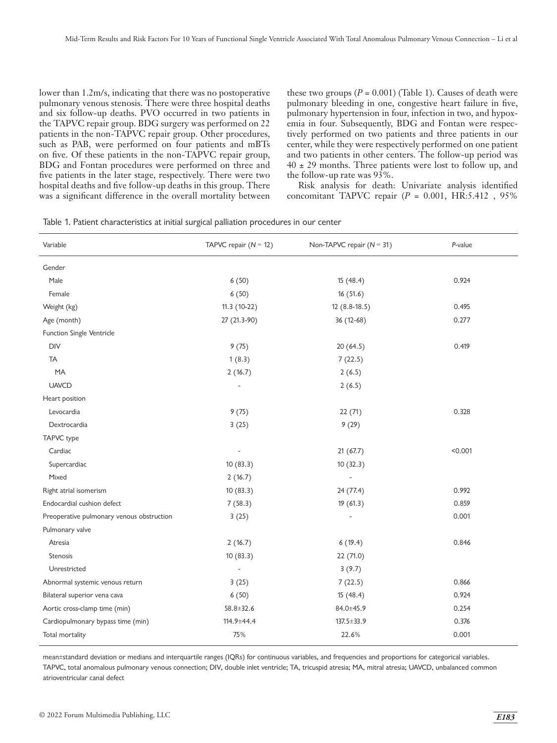lower than 1.2m/s, indicating that there was no postoperative pulmonary venous stenosis. There were three hospital deaths and six follow-up deaths. PVO occurred in two patients in the TAPVC repair group. BDG surgery was performed on 22 patients in the non-TAPVC repair group. Other procedures, such as PAB, were performed on four patients and mBTs on five. Of these patients in the non-TAPVC repair group, BDG and Fontan procedures were performed on three and five patients in the later stage, respectively. There were two hospital deaths and five follow-up deaths in this group. There was a significant difference in the overall mortality between

these two groups  $(P = 0.001)$  (Table 1). Causes of death were pulmonary bleeding in one, congestive heart failure in five, pulmonary hypertension in four, infection in two, and hypoxemia in four. Subsequently, BDG and Fontan were respectively performed on two patients and three patients in our center, while they were respectively performed on one patient and two patients in other centers. The follow-up period was  $40 \pm 29$  months. Three patients were lost to follow up, and the follow-up rate was 93%.

Risk analysis for death: Univariate analysis identified concomitant TAPVC repair (*P* = 0.001, HR:5.412 , 95%

|  | Table 1. Patient characteristics at initial surgical palliation procedures in our center |  |  |  |  |  |  |
|--|------------------------------------------------------------------------------------------|--|--|--|--|--|--|
|--|------------------------------------------------------------------------------------------|--|--|--|--|--|--|

| Variable                                  | TAPVC repair $(N = 12)$ | Non-TAPVC repair $(N = 31)$ | P-value |  |
|-------------------------------------------|-------------------------|-----------------------------|---------|--|
| Gender                                    |                         |                             |         |  |
| Male                                      | 6(50)                   | 15(48.4)                    | 0.924   |  |
| Female                                    | 6(50)                   | 16(51.6)                    |         |  |
| Weight (kg)                               | $11.3(10-22)$           | $12(8.8-18.5)$              | 0.495   |  |
| Age (month)                               | 27 (21.3-90)            | 36 (12-68)                  | 0.277   |  |
| Function Single Ventricle                 |                         |                             |         |  |
| <b>DIV</b>                                | 9(75)                   | 20(64.5)                    | 0.419   |  |
| <b>TA</b>                                 | 1(8.3)                  | 7(22.5)                     |         |  |
| MA                                        | 2(16.7)                 | 2(6.5)                      |         |  |
| <b>UAVCD</b>                              |                         | 2(6.5)                      |         |  |
| Heart position                            |                         |                             |         |  |
| Levocardia                                | 9(75)                   | 22(71)                      | 0.328   |  |
| Dextrocardia                              | 3(25)                   | 9(29)                       |         |  |
| TAPVC type                                |                         |                             |         |  |
| Cardiac                                   | L,                      | 21(67.7)                    | < 0.001 |  |
| Supercardiac                              | 10(83.3)                | 10(32.3)                    |         |  |
| Mixed                                     | 2(16.7)                 | ÷,                          |         |  |
| Right atrial isomerism                    | 10(83.3)                | 24(77.4)                    | 0.992   |  |
| Endocardial cushion defect                | 7(58.3)                 | 19(61.3)                    | 0.859   |  |
| Preoperative pulmonary venous obstruction | 3(25)                   | $\overline{\phantom{a}}$    | 0.001   |  |
| Pulmonary valve                           |                         |                             |         |  |
| Atresia                                   | 2(16.7)                 | 6(19.4)                     | 0.846   |  |
| Stenosis                                  | 10(83.3)                | 22 (71.0)                   |         |  |
| Unrestricted                              |                         | 3(9.7)                      |         |  |
| Abnormal systemic venous return           | 3(25)                   | 7(22.5)                     | 0.866   |  |
| Bilateral superior vena cava              | 6(50)                   | 15(48.4)                    | 0.924   |  |
| Aortic cross-clamp time (min)             | $58.8 \pm 32.6$         | 84.0±45.9                   | 0.254   |  |
| Cardiopulmonary bypass time (min)         | 114.9±44.4              | $137.5 \pm 33.9$            | 0.376   |  |
| Total mortality                           | 75%                     | 22.6%                       | 0.001   |  |

mean±standard deviation or medians and interquartile ranges (IQRs) for continuous variables, and frequencies and proportions for categorical variables. TAPVC, total anomalous pulmonary venous connection; DIV, double inlet ventricle; TA, tricuspid atresia; MA, mitral atresia; UAVCD, unbalanced common atrioventricular canal defect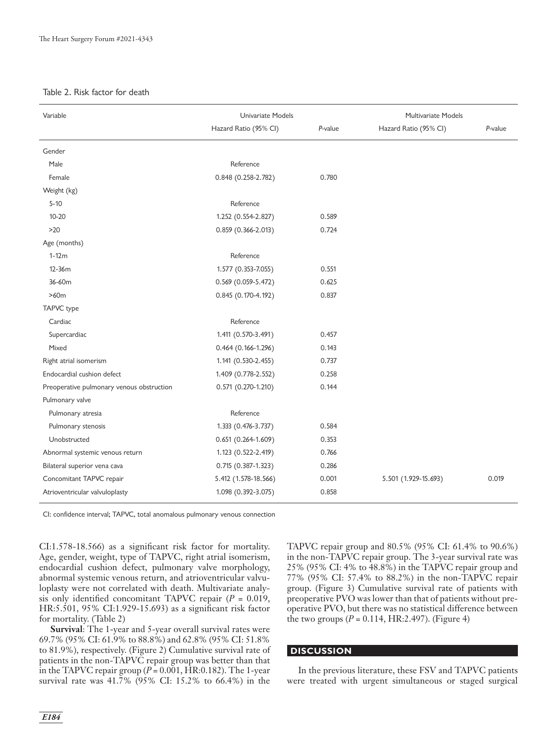#### Table 2. Risk factor for death

| Variable                                  | Univariate Models      |         | Multivariate Models   |         |  |
|-------------------------------------------|------------------------|---------|-----------------------|---------|--|
|                                           | Hazard Ratio (95% CI)  | P-value | Hazard Ratio (95% CI) | P-value |  |
| Gender                                    |                        |         |                       |         |  |
| Male                                      | Reference              |         |                       |         |  |
| Female                                    | 0.848 (0.258-2.782)    | 0.780   |                       |         |  |
| Weight (kg)                               |                        |         |                       |         |  |
| $5 - 10$                                  | Reference              |         |                       |         |  |
| $10 - 20$                                 | 1.252 (0.554-2.827)    | 0.589   |                       |         |  |
| $>20$                                     | $0.859(0.366 - 2.013)$ | 0.724   |                       |         |  |
| Age (months)                              |                        |         |                       |         |  |
| $1-12m$                                   | Reference              |         |                       |         |  |
| 12-36m                                    | 1.577 (0.353-7.055)    | 0.551   |                       |         |  |
| 36-60m                                    | $0.569(0.059 - 5.472)$ | 0.625   |                       |         |  |
| >60m                                      | 0.845 (0.170-4.192)    | 0.837   |                       |         |  |
| TAPVC type                                |                        |         |                       |         |  |
| Cardiac                                   | Reference              |         |                       |         |  |
| Supercardiac                              | 1.411 (0.570-3.491)    | 0.457   |                       |         |  |
| Mixed                                     | $0.464(0.166 - 1.296)$ | 0.143   |                       |         |  |
| Right atrial isomerism                    | 1.141 (0.530-2.455)    | 0.737   |                       |         |  |
| Endocardial cushion defect                | 1.409 (0.778-2.552)    | 0.258   |                       |         |  |
| Preoperative pulmonary venous obstruction | $0.571(0.270-1.210)$   | 0.144   |                       |         |  |
| Pulmonary valve                           |                        |         |                       |         |  |
| Pulmonary atresia                         | Reference              |         |                       |         |  |
| Pulmonary stenosis                        | 1.333 (0.476-3.737)    | 0.584   |                       |         |  |
| Unobstructed                              | $0.651(0.264 - 1.609)$ | 0.353   |                       |         |  |
| Abnormal systemic venous return           | 1.123 (0.522-2.419)    | 0.766   |                       |         |  |
| Bilateral superior vena cava              | 0.715 (0.387-1.323)    | 0.286   |                       |         |  |
| Concomitant TAPVC repair                  | 5.412 (1.578-18.566)   | 0.001   | 5.501 (1.929-15.693)  | 0.019   |  |
| Atrioventricular valvuloplasty            | 1.098 (0.392-3.075)    | 0.858   |                       |         |  |

CI: confidence interval; TAPVC, total anomalous pulmonary venous connection

CI:1.578-18.566) as a significant risk factor for mortality. Age, gender, weight, type of TAPVC, right atrial isomerism, endocardial cushion defect, pulmonary valve morphology, abnormal systemic venous return, and atrioventricular valvuloplasty were not correlated with death. Multivariate analysis only identified concomitant TAPVC repair (*P* = 0.019, HR:5.501, 95% CI:1.929-15.693) as a significant risk factor for mortality. (Table 2)

**Survival**: The 1-year and 5-year overall survival rates were 69.7% (95% CI: 61.9% to 88.8%) and 62.8% (95% CI: 51.8% to 81.9%), respectively. (Figure 2) Cumulative survival rate of patients in the non-TAPVC repair group was better than that in the TAPVC repair group  $(P = 0.001, HR:0.182)$ . The 1-year survival rate was 41.7% (95% CI: 15.2% to 66.4%) in the TAPVC repair group and 80.5% (95% CI: 61.4% to 90.6%) in the non-TAPVC repair group. The 3-year survival rate was 25% (95% CI: 4% to 48.8%) in the TAPVC repair group and 77% (95% CI: 57.4% to 88.2%) in the non-TAPVC repair group. (Figure 3) Cumulative survival rate of patients with preoperative PVO was lower than that of patients without preoperative PVO, but there was no statistical difference between the two groups  $(P = 0.114, HR:2.497)$ . (Figure 4)

#### **DISCUSSION**

In the previous literature, these FSV and TAPVC patients were treated with urgent simultaneous or staged surgical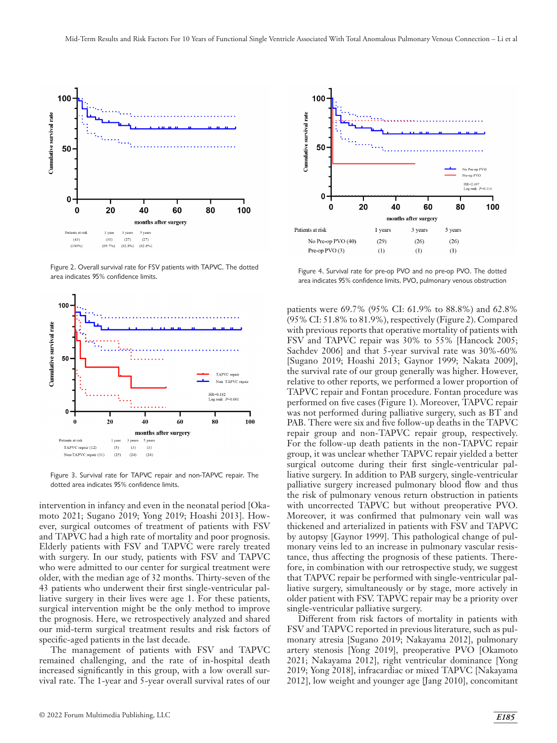

Figure 2. Overall survival rate for FSV patients with TAPVC. The dotted area indicates 95% confidence limits.



Figure 3. Survival rate for TAPVC repair and non-TAPVC repair. The dotted area indicates 95% confidence limits.

intervention in infancy and even in the neonatal period [Okamoto 2021; Sugano 2019; Yong 2019; Hoashi 2013]. However, surgical outcomes of treatment of patients with FSV and TAPVC had a high rate of mortality and poor prognosis. Elderly patients with FSV and TAPVC were rarely treated with surgery. In our study, patients with FSV and TAPVC who were admitted to our center for surgical treatment were older, with the median age of 32 months. Thirty-seven of the 43 patients who underwent their first single-ventricular palliative surgery in their lives were age 1. For these patients, surgical intervention might be the only method to improve the prognosis. Here, we retrospectively analyzed and shared our mid-term surgical treatment results and risk factors of specific-aged patients in the last decade.

The management of patients with FSV and TAPVC remained challenging, and the rate of in-hospital death increased significantly in this group, with a low overall survival rate. The 1-year and 5-year overall survival rates of our



Figure 4. Survival rate for pre-op PVO and no pre-op PVO. The dotted area indicates 95% confidence limits. PVO, pulmonary venous obstruction

patients were 69.7% (95% CI: 61.9% to 88.8%) and 62.8% (95% CI: 51.8% to 81.9%), respectively (Figure 2). Compared with previous reports that operative mortality of patients with FSV and TAPVC repair was 30% to 55% [Hancock 2005; Sachdev 2006] and that 5-year survival rate was 30%-60% [Sugano 2019; Hoashi 2013; Gaynor 1999; Nakata 2009], the survival rate of our group generally was higher. However, relative to other reports, we performed a lower proportion of TAPVC repair and Fontan procedure. Fontan procedure was performed on five cases (Figure 1). Moreover, TAPVC repair was not performed during palliative surgery, such as BT and PAB. There were six and five follow-up deaths in the TAPVC repair group and non-TAPVC repair group, respectively. For the follow-up death patients in the non-TAPVC repair group, it was unclear whether TAPVC repair yielded a better surgical outcome during their first single-ventricular palliative surgery. In addition to PAB surgery, single-ventricular palliative surgery increased pulmonary blood flow and thus the risk of pulmonary venous return obstruction in patients with uncorrected TAPVC but without preoperative PVO. Moreover, it was confirmed that pulmonary vein wall was thickened and arterialized in patients with FSV and TAPVC by autopsy [Gaynor 1999]. This pathological change of pulmonary veins led to an increase in pulmonary vascular resistance, thus affecting the prognosis of these patients. Therefore, in combination with our retrospective study, we suggest that TAPVC repair be performed with single-ventricular palliative surgery, simultaneously or by stage, more actively in older patient with FSV. TAPVC repair may be a priority over single-ventricular palliative surgery.

Different from risk factors of mortality in patients with FSV and TAPVC reported in previous literature, such as pulmonary atresia [Sugano 2019; Nakayama 2012], pulmonary artery stenosis [Yong 2019], preoperative PVO [Okamoto 2021; Nakayama 2012], right ventricular dominance [Yong 2019; Yong 2018], infracardiac or mixed TAPVC [Nakayama 2012], low weight and younger age [Jang 2010], concomitant